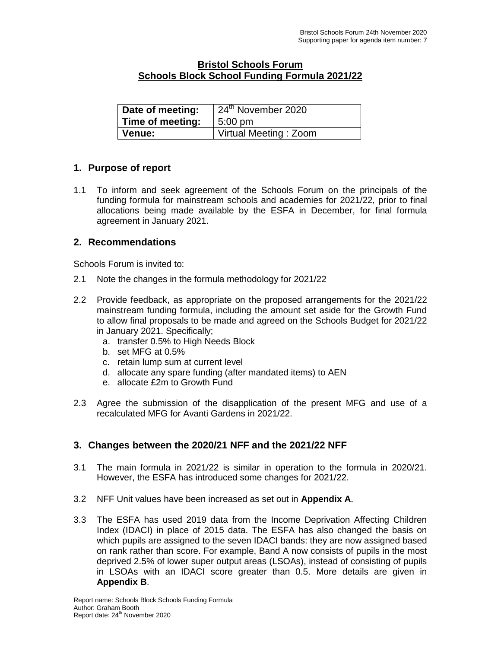### **Bristol Schools Forum Schools Block School Funding Formula 2021/22**

| Date of meeting: | $\frac{1}{2}$ 24 <sup>th</sup> November 2020 |
|------------------|----------------------------------------------|
| Time of meeting: | $5:00 \text{ pm}$                            |
| Venue:           | Virtual Meeting: Zoom                        |

## **1. Purpose of report**

1.1 To inform and seek agreement of the Schools Forum on the principals of the funding formula for mainstream schools and academies for 2021/22, prior to final allocations being made available by the ESFA in December, for final formula agreement in January 2021.

## **2. Recommendations**

Schools Forum is invited to:

- 2.1 Note the changes in the formula methodology for 2021/22
- 2.2 Provide feedback, as appropriate on the proposed arrangements for the 2021/22 mainstream funding formula, including the amount set aside for the Growth Fund to allow final proposals to be made and agreed on the Schools Budget for 2021/22 in January 2021. Specifically;
	- a. transfer 0.5% to High Needs Block
	- b. set MFG at 0.5%
	- c. retain lump sum at current level
	- d. allocate any spare funding (after mandated items) to AEN
	- e. allocate £2m to Growth Fund
- 2.3 Agree the submission of the disapplication of the present MFG and use of a recalculated MFG for Avanti Gardens in 2021/22.

# **3. Changes between the 2020/21 NFF and the 2021/22 NFF**

- 3.1 The main formula in 2021/22 is similar in operation to the formula in 2020/21. However, the ESFA has introduced some changes for 2021/22.
- 3.2 NFF Unit values have been increased as set out in **Appendix A**.
- 3.3 The ESFA has used 2019 data from the Income Deprivation Affecting Children Index (IDACI) in place of 2015 data. The ESFA has also changed the basis on which pupils are assigned to the seven IDACI bands: they are now assigned based on rank rather than score. For example, Band A now consists of pupils in the most deprived 2.5% of lower super output areas (LSOAs), instead of consisting of pupils in LSOAs with an IDACI score greater than 0.5. More details are given in **Appendix B**.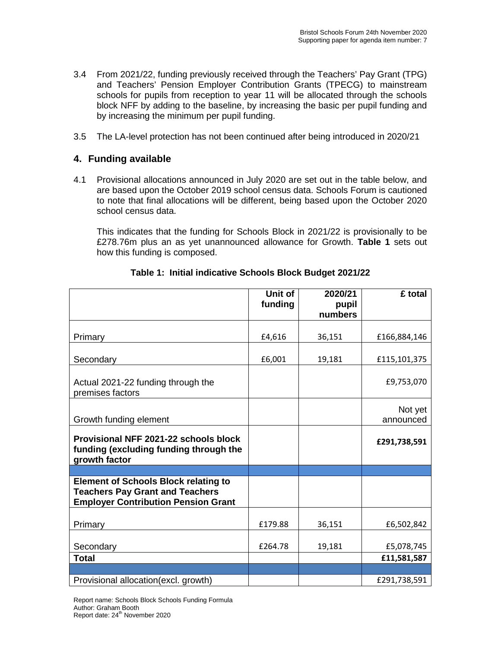- 3.4 From 2021/22, funding previously received through the Teachers' Pay Grant (TPG) and Teachers' Pension Employer Contribution Grants (TPECG) to mainstream schools for pupils from reception to year 11 will be allocated through the schools block NFF by adding to the baseline, by increasing the basic per pupil funding and by increasing the minimum per pupil funding.
- 3.5 The LA-level protection has not been continued after being introduced in 2020/21

### **4. Funding available**

4.1 Provisional allocations announced in July 2020 are set out in the table below, and are based upon the October 2019 school census data. Schools Forum is cautioned to note that final allocations will be different, being based upon the October 2020 school census data.

This indicates that the funding for Schools Block in 2021/22 is provisionally to be £278.76m plus an as yet unannounced allowance for Growth. **Table 1** sets out how this funding is composed.

|                                                                                                                                     | Unit of | 2020/21          | £ total      |
|-------------------------------------------------------------------------------------------------------------------------------------|---------|------------------|--------------|
|                                                                                                                                     | funding | pupil<br>numbers |              |
|                                                                                                                                     |         |                  |              |
| Primary                                                                                                                             | £4,616  | 36,151           | £166,884,146 |
| Secondary                                                                                                                           | £6,001  | 19,181           | £115,101,375 |
|                                                                                                                                     |         |                  |              |
| Actual 2021-22 funding through the<br>premises factors                                                                              |         |                  | £9,753,070   |
|                                                                                                                                     |         |                  | Not yet      |
| Growth funding element                                                                                                              |         |                  | announced    |
| Provisional NFF 2021-22 schools block<br>funding (excluding funding through the<br>growth factor                                    |         |                  | £291,738,591 |
|                                                                                                                                     |         |                  |              |
| <b>Element of Schools Block relating to</b><br><b>Teachers Pay Grant and Teachers</b><br><b>Employer Contribution Pension Grant</b> |         |                  |              |
| Primary                                                                                                                             | £179.88 | 36,151           | £6,502,842   |
|                                                                                                                                     |         |                  |              |
| Secondary                                                                                                                           | £264.78 | 19,181           | £5,078,745   |
| <b>Total</b>                                                                                                                        |         |                  | £11,581,587  |
|                                                                                                                                     |         |                  |              |
| Provisional allocation (excl. growth)                                                                                               |         |                  | £291,738,591 |

## **Table 1: Initial indicative Schools Block Budget 2021/22**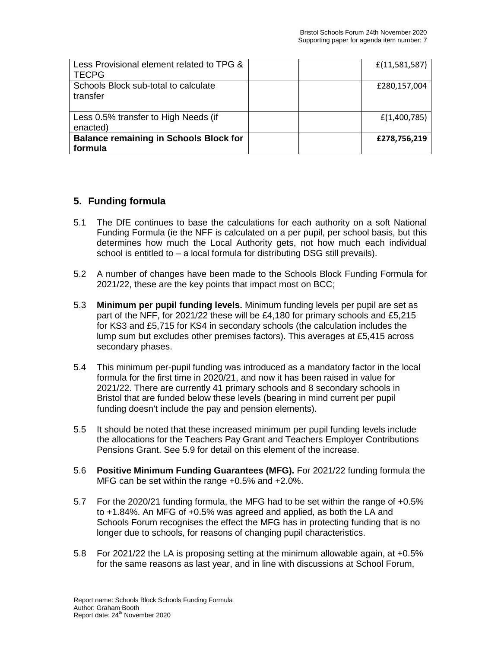| Less Provisional element related to TPG &<br><b>TECPG</b> | f(11,581,587) |
|-----------------------------------------------------------|---------------|
| Schools Block sub-total to calculate<br>transfer          | £280,157,004  |
| Less 0.5% transfer to High Needs (if<br>enacted)          | f(1,400,785)  |
| <b>Balance remaining in Schools Block for</b><br>formula  | £278,756,219  |

# **5. Funding formula**

- 5.1 The DfE continues to base the calculations for each authority on a soft National Funding Formula (ie the NFF is calculated on a per pupil, per school basis, but this determines how much the Local Authority gets, not how much each individual school is entitled to – a local formula for distributing DSG still prevails).
- 5.2 A number of changes have been made to the Schools Block Funding Formula for 2021/22, these are the key points that impact most on BCC;
- 5.3 **Minimum per pupil funding levels.** Minimum funding levels per pupil are set as part of the NFF, for 2021/22 these will be £4,180 for primary schools and £5,215 for KS3 and £5,715 for KS4 in secondary schools (the calculation includes the lump sum but excludes other premises factors). This averages at £5,415 across secondary phases.
- 5.4 This minimum per-pupil funding was introduced as a mandatory factor in the local formula for the first time in 2020/21, and now it has been raised in value for 2021/22. There are currently 41 primary schools and 8 secondary schools in Bristol that are funded below these levels (bearing in mind current per pupil funding doesn't include the pay and pension elements).
- 5.5 It should be noted that these increased minimum per pupil funding levels include the allocations for the Teachers Pay Grant and Teachers Employer Contributions Pensions Grant. See 5.9 for detail on this element of the increase.
- 5.6 **Positive Minimum Funding Guarantees (MFG).** For 2021/22 funding formula the MFG can be set within the range +0.5% and +2.0%.
- 5.7 For the 2020/21 funding formula, the MFG had to be set within the range of +0.5% to +1.84%. An MFG of +0.5% was agreed and applied, as both the LA and Schools Forum recognises the effect the MFG has in protecting funding that is no longer due to schools, for reasons of changing pupil characteristics.
- 5.8 For 2021/22 the LA is proposing setting at the minimum allowable again, at +0.5% for the same reasons as last year, and in line with discussions at School Forum,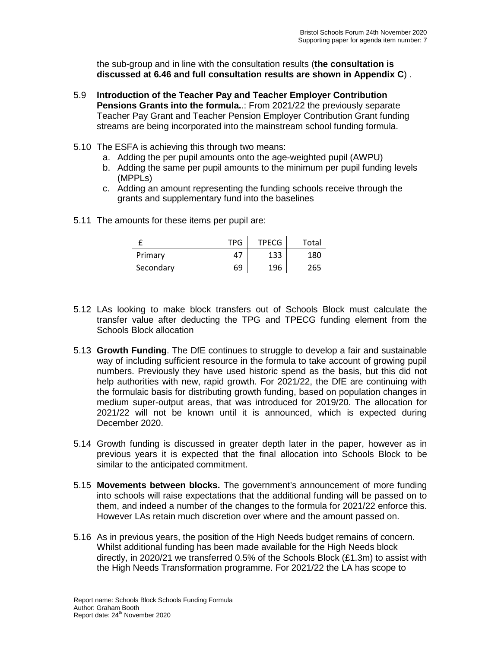the sub-group and in line with the consultation results (**the consultation is discussed at 6.46 and full consultation results are shown in Appendix C**) .

- 5.9 **Introduction of the Teacher Pay and Teacher Employer Contribution Pensions Grants into the formula.**.: From 2021/22 the previously separate Teacher Pay Grant and Teacher Pension Employer Contribution Grant funding streams are being incorporated into the mainstream school funding formula.
- 5.10 The ESFA is achieving this through two means:
	- a. Adding the per pupil amounts onto the age-weighted pupil (AWPU)
	- b. Adding the same per pupil amounts to the minimum per pupil funding levels (MPPLs)
	- c. Adding an amount representing the funding schools receive through the grants and supplementary fund into the baselines
- 5.11 The amounts for these items per pupil are:

|           | <b>TPG</b> | <b>TPECG</b> | Total |
|-----------|------------|--------------|-------|
| Primary   | 47         | 133          | 180   |
| Secondary | 69         | 196          | 265   |

- 5.12 LAs looking to make block transfers out of Schools Block must calculate the transfer value after deducting the TPG and TPECG funding element from the Schools Block allocation
- 5.13 **Growth Funding**. The DfE continues to struggle to develop a fair and sustainable way of including sufficient resource in the formula to take account of growing pupil numbers. Previously they have used historic spend as the basis, but this did not help authorities with new, rapid growth. For 2021/22, the DfE are continuing with the formulaic basis for distributing growth funding, based on population changes in medium super-output areas, that was introduced for 2019/20. The allocation for 2021/22 will not be known until it is announced, which is expected during December 2020.
- 5.14 Growth funding is discussed in greater depth later in the paper, however as in previous years it is expected that the final allocation into Schools Block to be similar to the anticipated commitment.
- 5.15 **Movements between blocks.** The government's announcement of more funding into schools will raise expectations that the additional funding will be passed on to them, and indeed a number of the changes to the formula for 2021/22 enforce this. However LAs retain much discretion over where and the amount passed on.
- 5.16 As in previous years, the position of the High Needs budget remains of concern. Whilst additional funding has been made available for the High Needs block directly, in 2020/21 we transferred 0.5% of the Schools Block (£1.3m) to assist with the High Needs Transformation programme. For 2021/22 the LA has scope to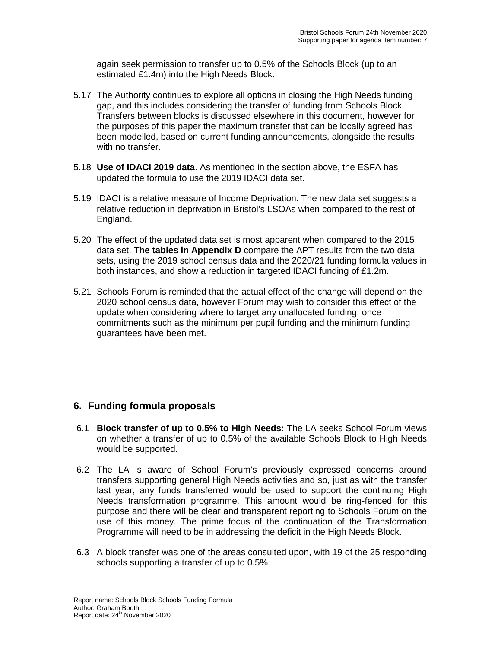again seek permission to transfer up to 0.5% of the Schools Block (up to an estimated £1.4m) into the High Needs Block.

- 5.17 The Authority continues to explore all options in closing the High Needs funding gap, and this includes considering the transfer of funding from Schools Block. Transfers between blocks is discussed elsewhere in this document, however for the purposes of this paper the maximum transfer that can be locally agreed has been modelled, based on current funding announcements, alongside the results with no transfer.
- 5.18 **Use of IDACI 2019 data**. As mentioned in the section above, the ESFA has updated the formula to use the 2019 IDACI data set.
- 5.19 IDACI is a relative measure of Income Deprivation. The new data set suggests a relative reduction in deprivation in Bristol's LSOAs when compared to the rest of England.
- 5.20 The effect of the updated data set is most apparent when compared to the 2015 data set. **The tables in Appendix D** compare the APT results from the two data sets, using the 2019 school census data and the 2020/21 funding formula values in both instances, and show a reduction in targeted IDACI funding of £1.2m.
- 5.21 Schools Forum is reminded that the actual effect of the change will depend on the 2020 school census data, however Forum may wish to consider this effect of the update when considering where to target any unallocated funding, once commitments such as the minimum per pupil funding and the minimum funding guarantees have been met.

## **6. Funding formula proposals**

- 6.1 **Block transfer of up to 0.5% to High Needs:** The LA seeks School Forum views on whether a transfer of up to 0.5% of the available Schools Block to High Needs would be supported.
- 6.2 The LA is aware of School Forum's previously expressed concerns around transfers supporting general High Needs activities and so, just as with the transfer last year, any funds transferred would be used to support the continuing High Needs transformation programme. This amount would be ring-fenced for this purpose and there will be clear and transparent reporting to Schools Forum on the use of this money. The prime focus of the continuation of the Transformation Programme will need to be in addressing the deficit in the High Needs Block.
- 6.3 A block transfer was one of the areas consulted upon, with 19 of the 25 responding schools supporting a transfer of up to 0.5%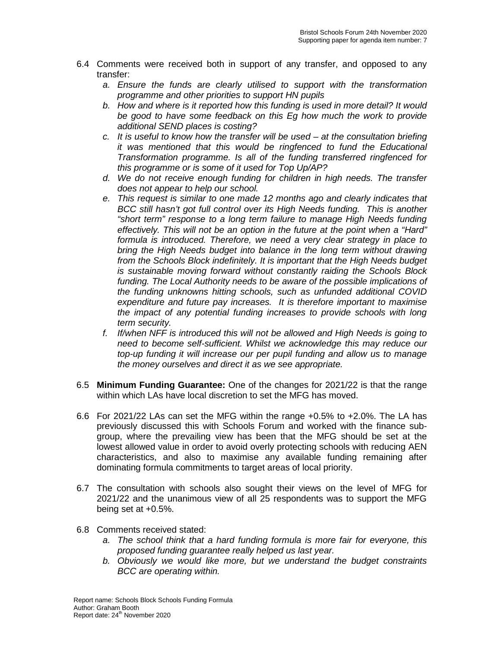- 6.4 Comments were received both in support of any transfer, and opposed to any transfer:
	- *a. Ensure the funds are clearly utilised to support with the transformation programme and other priorities to support HN pupils*
	- *b. How and where is it reported how this funding is used in more detail? It would be good to have some feedback on this Eg how much the work to provide additional SEND places is costing?*
	- *c. It is useful to know how the transfer will be used – at the consultation briefing it was mentioned that this would be ringfenced to fund the Educational Transformation programme. Is all of the funding transferred ringfenced for this programme or is some of it used for Top Up/AP?*
	- *d. We do not receive enough funding for children in high needs. The transfer does not appear to help our school.*
	- *e. This request is similar to one made 12 months ago and clearly indicates that BCC still hasn't got full control over its High Needs funding. This is another "short term" response to a long term failure to manage High Needs funding effectively. This will not be an option in the future at the point when a "Hard" formula is introduced. Therefore, we need a very clear strategy in place to bring the High Needs budget into balance in the long term without drawing from the Schools Block indefinitely. It is important that the High Needs budget is sustainable moving forward without constantly raiding the Schools Block*  funding. The Local Authority needs to be aware of the possible implications of *the funding unknowns hitting schools, such as unfunded additional COVID expenditure and future pay increases. It is therefore important to maximise the impact of any potential funding increases to provide schools with long term security.*
	- *f. If/when NFF is introduced this will not be allowed and High Needs is going to need to become self-sufficient. Whilst we acknowledge this may reduce our top-up funding it will increase our per pupil funding and allow us to manage the money ourselves and direct it as we see appropriate.*
- 6.5 **Minimum Funding Guarantee:** One of the changes for 2021/22 is that the range within which LAs have local discretion to set the MFG has moved.
- 6.6 For 2021/22 LAs can set the MFG within the range +0.5% to +2.0%. The LA has previously discussed this with Schools Forum and worked with the finance subgroup, where the prevailing view has been that the MFG should be set at the lowest allowed value in order to avoid overly protecting schools with reducing AEN characteristics, and also to maximise any available funding remaining after dominating formula commitments to target areas of local priority.
- 6.7 The consultation with schools also sought their views on the level of MFG for 2021/22 and the unanimous view of all 25 respondents was to support the MFG being set at +0.5%.
- 6.8 Comments received stated:
	- *a. The school think that a hard funding formula is more fair for everyone, this proposed funding guarantee really helped us last year.*
	- *b. Obviously we would like more, but we understand the budget constraints BCC are operating within.*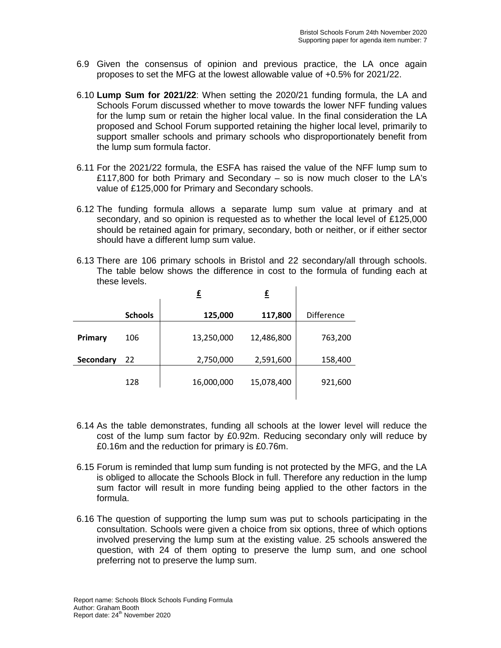- 6.9 Given the consensus of opinion and previous practice, the LA once again proposes to set the MFG at the lowest allowable value of +0.5% for 2021/22.
- 6.10 **Lump Sum for 2021/22**: When setting the 2020/21 funding formula, the LA and Schools Forum discussed whether to move towards the lower NFF funding values for the lump sum or retain the higher local value. In the final consideration the LA proposed and School Forum supported retaining the higher local level, primarily to support smaller schools and primary schools who disproportionately benefit from the lump sum formula factor.
- 6.11 For the 2021/22 formula, the ESFA has raised the value of the NFF lump sum to £117,800 for both Primary and Secondary – so is now much closer to the LA's value of £125,000 for Primary and Secondary schools.
- 6.12 The funding formula allows a separate lump sum value at primary and at secondary, and so opinion is requested as to whether the local level of £125,000 should be retained again for primary, secondary, both or neither, or if either sector should have a different lump sum value.
- 6.13 There are 106 primary schools in Bristol and 22 secondary/all through schools. The table below shows the difference in cost to the formula of funding each at these levels.

|           |                | £          | £          |                   |
|-----------|----------------|------------|------------|-------------------|
|           | <b>Schools</b> | 125,000    | 117,800    | <b>Difference</b> |
| Primary   | 106            | 13,250,000 | 12,486,800 | 763,200           |
| Secondary | 22             | 2,750,000  | 2,591,600  | 158,400           |
|           | 128            | 16,000,000 | 15,078,400 | 921,600           |

- 6.14 As the table demonstrates, funding all schools at the lower level will reduce the cost of the lump sum factor by £0.92m. Reducing secondary only will reduce by £0.16m and the reduction for primary is £0.76m.
- 6.15 Forum is reminded that lump sum funding is not protected by the MFG, and the LA is obliged to allocate the Schools Block in full. Therefore any reduction in the lump sum factor will result in more funding being applied to the other factors in the formula.
- 6.16 The question of supporting the lump sum was put to schools participating in the consultation. Schools were given a choice from six options, three of which options involved preserving the lump sum at the existing value. 25 schools answered the question, with 24 of them opting to preserve the lump sum, and one school preferring not to preserve the lump sum.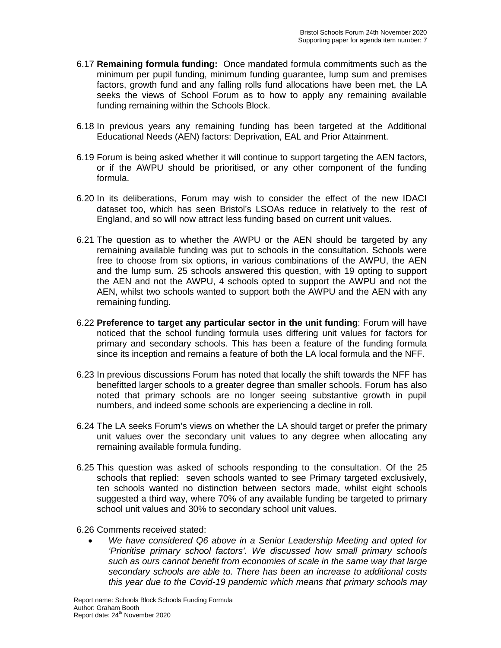- 6.17 **Remaining formula funding:** Once mandated formula commitments such as the minimum per pupil funding, minimum funding guarantee, lump sum and premises factors, growth fund and any falling rolls fund allocations have been met, the LA seeks the views of School Forum as to how to apply any remaining available funding remaining within the Schools Block.
- 6.18 In previous years any remaining funding has been targeted at the Additional Educational Needs (AEN) factors: Deprivation, EAL and Prior Attainment.
- 6.19 Forum is being asked whether it will continue to support targeting the AEN factors, or if the AWPU should be prioritised, or any other component of the funding formula.
- 6.20 In its deliberations, Forum may wish to consider the effect of the new IDACI dataset too, which has seen Bristol's LSOAs reduce in relatively to the rest of England, and so will now attract less funding based on current unit values.
- 6.21 The question as to whether the AWPU or the AEN should be targeted by any remaining available funding was put to schools in the consultation. Schools were free to choose from six options, in various combinations of the AWPU, the AEN and the lump sum. 25 schools answered this question, with 19 opting to support the AEN and not the AWPU, 4 schools opted to support the AWPU and not the AEN, whilst two schools wanted to support both the AWPU and the AEN with any remaining funding.
- 6.22 **Preference to target any particular sector in the unit funding**: Forum will have noticed that the school funding formula uses differing unit values for factors for primary and secondary schools. This has been a feature of the funding formula since its inception and remains a feature of both the LA local formula and the NFF.
- 6.23 In previous discussions Forum has noted that locally the shift towards the NFF has benefitted larger schools to a greater degree than smaller schools. Forum has also noted that primary schools are no longer seeing substantive growth in pupil numbers, and indeed some schools are experiencing a decline in roll.
- 6.24 The LA seeks Forum's views on whether the LA should target or prefer the primary unit values over the secondary unit values to any degree when allocating any remaining available formula funding.
- 6.25 This question was asked of schools responding to the consultation. Of the 25 schools that replied: seven schools wanted to see Primary targeted exclusively, ten schools wanted no distinction between sectors made, whilst eight schools suggested a third way, where 70% of any available funding be targeted to primary school unit values and 30% to secondary school unit values.
- 6.26 Comments received stated:
	- *We have considered Q6 above in a Senior Leadership Meeting and opted for 'Prioritise primary school factors'. We discussed how small primary schools such as ours cannot benefit from economies of scale in the same way that large secondary schools are able to. There has been an increase to additional costs this year due to the Covid-19 pandemic which means that primary schools may*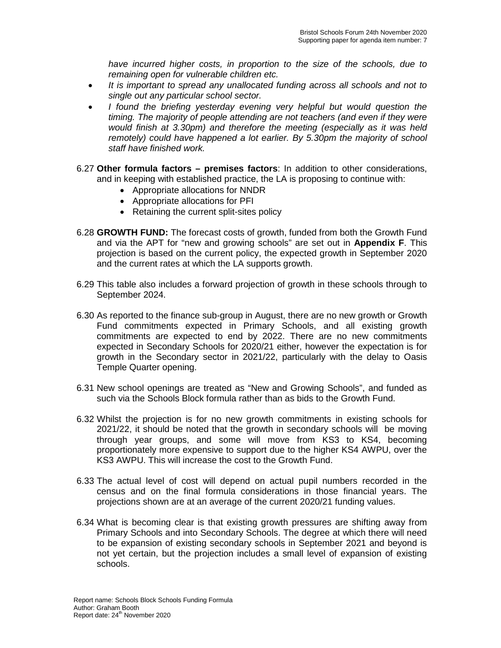*have incurred higher costs, in proportion to the size of the schools, due to remaining open for vulnerable children etc.*

- *It is important to spread any unallocated funding across all schools and not to single out any particular school sector.*
- *I found the briefing yesterday evening very helpful but would question the timing. The majority of people attending are not teachers (and even if they were would finish at 3.30pm) and therefore the meeting (especially as it was held remotely) could have happened a lot earlier. By 5.30pm the majority of school staff have finished work.*
- 6.27 **Other formula factors – premises factors**: In addition to other considerations, and in keeping with established practice, the LA is proposing to continue with:
	- Appropriate allocations for NNDR
	- Appropriate allocations for PFI
	- Retaining the current split-sites policy
- 6.28 **GROWTH FUND:** The forecast costs of growth, funded from both the Growth Fund and via the APT for "new and growing schools" are set out in **Appendix F**. This projection is based on the current policy, the expected growth in September 2020 and the current rates at which the LA supports growth.
- 6.29 This table also includes a forward projection of growth in these schools through to September 2024.
- 6.30 As reported to the finance sub-group in August, there are no new growth or Growth Fund commitments expected in Primary Schools, and all existing growth commitments are expected to end by 2022. There are no new commitments expected in Secondary Schools for 2020/21 either, however the expectation is for growth in the Secondary sector in 2021/22, particularly with the delay to Oasis Temple Quarter opening.
- 6.31 New school openings are treated as "New and Growing Schools", and funded as such via the Schools Block formula rather than as bids to the Growth Fund.
- 6.32 Whilst the projection is for no new growth commitments in existing schools for 2021/22, it should be noted that the growth in secondary schools will be moving through year groups, and some will move from KS3 to KS4, becoming proportionately more expensive to support due to the higher KS4 AWPU, over the KS3 AWPU. This will increase the cost to the Growth Fund.
- 6.33 The actual level of cost will depend on actual pupil numbers recorded in the census and on the final formula considerations in those financial years. The projections shown are at an average of the current 2020/21 funding values.
- 6.34 What is becoming clear is that existing growth pressures are shifting away from Primary Schools and into Secondary Schools. The degree at which there will need to be expansion of existing secondary schools in September 2021 and beyond is not yet certain, but the projection includes a small level of expansion of existing schools.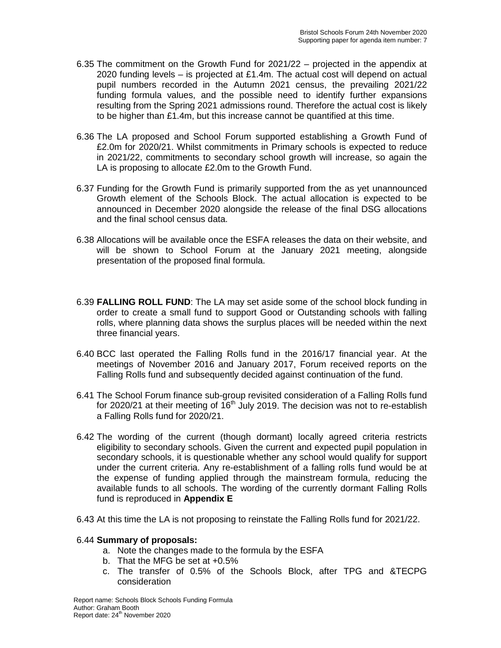- 6.35 The commitment on the Growth Fund for 2021/22 projected in the appendix at 2020 funding levels  $-$  is projected at £1.4m. The actual cost will depend on actual pupil numbers recorded in the Autumn 2021 census, the prevailing 2021/22 funding formula values, and the possible need to identify further expansions resulting from the Spring 2021 admissions round. Therefore the actual cost is likely to be higher than £1.4m, but this increase cannot be quantified at this time.
- 6.36 The LA proposed and School Forum supported establishing a Growth Fund of £2.0m for 2020/21. Whilst commitments in Primary schools is expected to reduce in 2021/22, commitments to secondary school growth will increase, so again the LA is proposing to allocate £2.0m to the Growth Fund.
- 6.37 Funding for the Growth Fund is primarily supported from the as yet unannounced Growth element of the Schools Block. The actual allocation is expected to be announced in December 2020 alongside the release of the final DSG allocations and the final school census data.
- 6.38 Allocations will be available once the ESFA releases the data on their website, and will be shown to School Forum at the January 2021 meeting, alongside presentation of the proposed final formula.
- 6.39 **FALLING ROLL FUND**: The LA may set aside some of the school block funding in order to create a small fund to support Good or Outstanding schools with falling rolls, where planning data shows the surplus places will be needed within the next three financial years.
- 6.40 BCC last operated the Falling Rolls fund in the 2016/17 financial year. At the meetings of November 2016 and January 2017, Forum received reports on the Falling Rolls fund and subsequently decided against continuation of the fund.
- 6.41 The School Forum finance sub-group revisited consideration of a Falling Rolls fund for 2020/21 at their meeting of  $16<sup>th</sup>$  July 2019. The decision was not to re-establish a Falling Rolls fund for 2020/21.
- 6.42 The wording of the current (though dormant) locally agreed criteria restricts eligibility to secondary schools. Given the current and expected pupil population in secondary schools, it is questionable whether any school would qualify for support under the current criteria. Any re-establishment of a falling rolls fund would be at the expense of funding applied through the mainstream formula, reducing the available funds to all schools. The wording of the currently dormant Falling Rolls fund is reproduced in **Appendix E**
- 6.43 At this time the LA is not proposing to reinstate the Falling Rolls fund for 2021/22.

#### 6.44 **Summary of proposals:**

- a. Note the changes made to the formula by the ESFA
- b. That the MFG be set at +0.5%
- c. The transfer of 0.5% of the Schools Block, after TPG and &TECPG consideration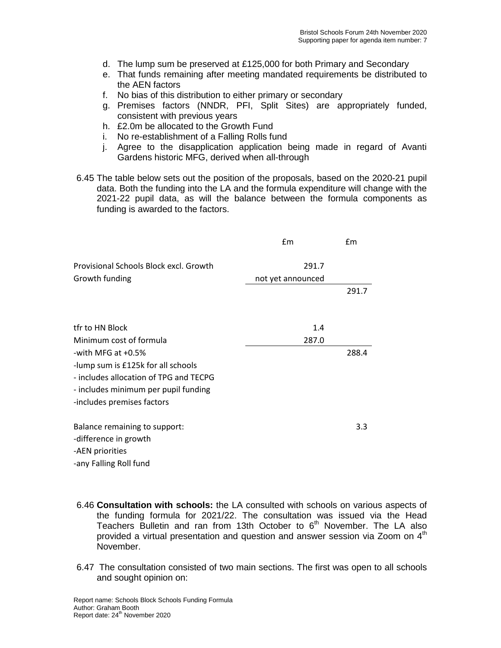- d. The lump sum be preserved at £125,000 for both Primary and Secondary
- e. That funds remaining after meeting mandated requirements be distributed to the AEN factors
- f. No bias of this distribution to either primary or secondary
- g. Premises factors (NNDR, PFI, Split Sites) are appropriately funded, consistent with previous years
- h. £2.0m be allocated to the Growth Fund
- i. No re-establishment of a Falling Rolls fund
- j. Agree to the disapplication application being made in regard of Avanti Gardens historic MFG, derived when all-through
- 6.45 The table below sets out the position of the proposals, based on the 2020-21 pupil data. Both the funding into the LA and the formula expenditure will change with the 2021-22 pupil data, as will the balance between the formula components as funding is awarded to the factors.

|                                        | £m                | £m    |
|----------------------------------------|-------------------|-------|
| Provisional Schools Block excl. Growth | 291.7             |       |
| Growth funding                         | not yet announced |       |
|                                        |                   | 291.7 |
|                                        |                   |       |
| tfr to HN Block                        | 1.4               |       |
| Minimum cost of formula                | 287.0             |       |
| -with MFG at $+0.5%$                   |                   | 288.4 |
| -lump sum is £125k for all schools     |                   |       |
| - includes allocation of TPG and TECPG |                   |       |
| - includes minimum per pupil funding   |                   |       |
| -includes premises factors             |                   |       |
| Balance remaining to support:          |                   | 3.3   |
| -difference in growth                  |                   |       |
| -AEN priorities                        |                   |       |
| -any Falling Roll fund                 |                   |       |

- 6.46 **Consultation with schools:** the LA consulted with schools on various aspects of the funding formula for 2021/22. The consultation was issued via the Head Teachers Bulletin and ran from 13th October to  $6<sup>th</sup>$  November. The LA also provided a virtual presentation and question and answer session via Zoom on  $4<sup>th</sup>$ November.
- 6.47 The consultation consisted of two main sections. The first was open to all schools and sought opinion on: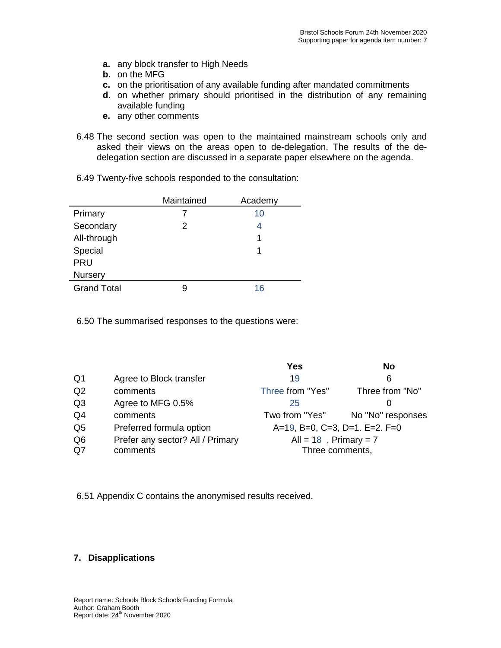- **a.** any block transfer to High Needs
- **b.** on the MFG
- **c.** on the prioritisation of any available funding after mandated commitments
- **d.** on whether primary should prioritised in the distribution of any remaining available funding
- **e.** any other comments
- 6.48 The second section was open to the maintained mainstream schools only and asked their views on the areas open to de-delegation. The results of the dedelegation section are discussed in a separate paper elsewhere on the agenda.
- 6.49 Twenty-five schools responded to the consultation:

|                    | Maintained | Academy |
|--------------------|------------|---------|
| Primary            |            | 10      |
| Secondary          | 2          | 4       |
| All-through        |            |         |
| Special            |            |         |
| <b>PRU</b>         |            |         |
| <b>Nursery</b>     |            |         |
| <b>Grand Total</b> |            | 16      |
|                    |            |         |

6.50 The summarised responses to the questions were:

|                |                                  | Yes                           | No                |
|----------------|----------------------------------|-------------------------------|-------------------|
| Q <sub>1</sub> | Agree to Block transfer          | 19                            | 6                 |
| Q2             | comments                         | Three from "Yes"              | Three from "No"   |
| Q <sub>3</sub> | Agree to MFG 0.5%                | 25                            | O                 |
| Q4             | comments                         | Two from "Yes"                | No "No" responses |
| Q <sub>5</sub> | Preferred formula option         | A=19, B=0, C=3, D=1. E=2. F=0 |                   |
| Q <sub>6</sub> | Prefer any sector? All / Primary | All = $18$ , Primary = 7      |                   |
| Q7             | comments                         | Three comments,               |                   |
|                |                                  |                               |                   |

6.51 Appendix C contains the anonymised results received.

### **7. Disapplications**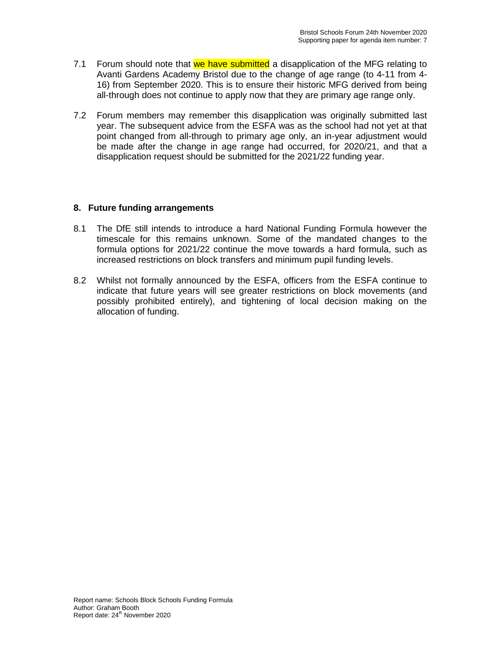- 7.1 Forum should note that we have submitted a disapplication of the MFG relating to Avanti Gardens Academy Bristol due to the change of age range (to 4-11 from 4- 16) from September 2020. This is to ensure their historic MFG derived from being all-through does not continue to apply now that they are primary age range only.
- 7.2 Forum members may remember this disapplication was originally submitted last year. The subsequent advice from the ESFA was as the school had not yet at that point changed from all-through to primary age only, an in-year adjustment would be made after the change in age range had occurred, for 2020/21, and that a disapplication request should be submitted for the 2021/22 funding year.

### **8. Future funding arrangements**

- 8.1 The DfE still intends to introduce a hard National Funding Formula however the timescale for this remains unknown. Some of the mandated changes to the formula options for 2021/22 continue the move towards a hard formula, such as increased restrictions on block transfers and minimum pupil funding levels.
- 8.2 Whilst not formally announced by the ESFA, officers from the ESFA continue to indicate that future years will see greater restrictions on block movements (and possibly prohibited entirely), and tightening of local decision making on the allocation of funding.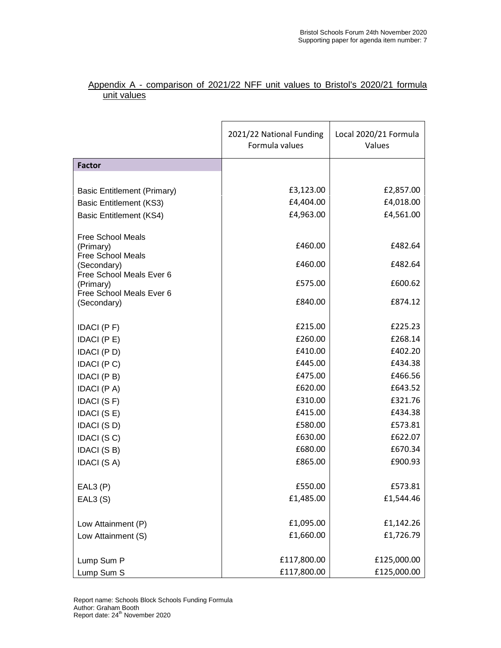### Appendix A - comparison of 2021/22 NFF unit values to Bristol's 2020/21 formula unit values

|                                       | 2021/22 National Funding<br>Local 2020/21 Formula<br>Formula values<br>Values |                    |
|---------------------------------------|-------------------------------------------------------------------------------|--------------------|
| <b>Factor</b>                         |                                                                               |                    |
|                                       |                                                                               |                    |
| <b>Basic Entitlement (Primary)</b>    | £3,123.00                                                                     | £2,857.00          |
| <b>Basic Entitlement (KS3)</b>        | £4,404.00                                                                     | £4,018.00          |
| <b>Basic Entitlement (KS4)</b>        | £4,963.00                                                                     | £4,561.00          |
| <b>Free School Meals</b><br>(Primary) | £460.00                                                                       | £482.64            |
| Free School Meals                     |                                                                               |                    |
| (Secondary)                           | £460.00                                                                       | £482.64            |
| Free School Meals Ever 6<br>(Primary) | £575.00                                                                       | £600.62            |
| Free School Meals Ever 6              |                                                                               |                    |
| (Secondary)                           | £840.00                                                                       | £874.12            |
|                                       |                                                                               |                    |
| IDACI (PF)                            | £215.00                                                                       | £225.23            |
| IDACI (PE)                            | £260.00                                                                       | £268.14            |
| <b>IDACI</b> (P D)                    | £410.00                                                                       | £402.20            |
| IDACI (PC)                            | £445.00                                                                       | £434.38            |
| IDACI (P B)                           | £475.00<br>£620.00                                                            | £466.56<br>£643.52 |
| <b>IDACI</b> (P A)                    | £310.00                                                                       | £321.76            |
| IDACI (SF)<br>IDACI (SE)              | £415.00                                                                       | £434.38            |
| IDACI (SD)                            | £580.00                                                                       | £573.81            |
| IDACI (SC)                            | £630.00                                                                       | £622.07            |
| IDACI (SB)                            | £680.00                                                                       | £670.34            |
| <b>IDACI (S A)</b>                    | £865.00                                                                       | £900.93            |
|                                       |                                                                               |                    |
| EAL3(P)                               | £550.00                                                                       | £573.81            |
| EAL3(S)                               | £1,485.00                                                                     | £1,544.46          |
|                                       |                                                                               |                    |
| Low Attainment (P)                    | £1,095.00                                                                     | £1,142.26          |
| Low Attainment (S)                    | £1,660.00                                                                     | £1,726.79          |
|                                       |                                                                               |                    |
| Lump Sum P                            | £117,800.00                                                                   | £125,000.00        |
| Lump Sum S                            | £117,800.00                                                                   | £125,000.00        |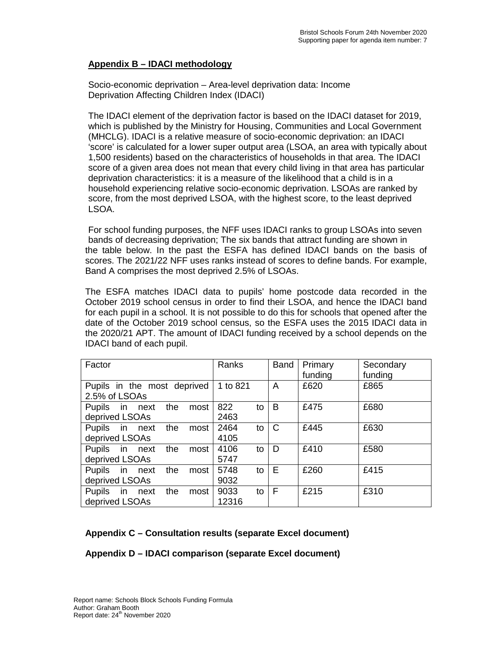### **Appendix B – IDACI methodology**

Socio-economic deprivation – Area-level deprivation data: Income Deprivation Affecting Children Index (IDACI)

The IDACI element of the deprivation factor is based on the IDACI dataset for 2019, which is published by the Ministry for Housing, Communities and Local Government (MHCLG). IDACI is a relative measure of socio-economic deprivation: an IDACI 'score' is calculated for a lower super output area (LSOA, an area with typically about 1,500 residents) based on the characteristics of households in that area. The IDACI score of a given area does not mean that every child living in that area has particular deprivation characteristics: it is a measure of the likelihood that a child is in a household experiencing relative socio-economic deprivation. LSOAs are ranked by score, from the most deprived LSOA, with the highest score, to the least deprived LSOA.

For school funding purposes, the NFF uses IDACI ranks to group LSOAs into seven bands of decreasing deprivation; The six bands that attract funding are shown in the table below. In the past the ESFA has defined IDACI bands on the basis of scores. The 2021/22 NFF uses ranks instead of scores to define bands. For example, Band A comprises the most deprived 2.5% of LSOAs.

The ESFA matches IDACI data to pupils' home postcode data recorded in the October 2019 school census in order to find their LSOA, and hence the IDACI band for each pupil in a school. It is not possible to do this for schools that opened after the date of the October 2019 school census, so the ESFA uses the 2015 IDACI data in the 2020/21 APT. The amount of IDACI funding received by a school depends on the IDACI band of each pupil.

| Factor                                          | Ranks               | <b>Band</b>  | Primary<br>funding | Secondary<br>funding |
|-------------------------------------------------|---------------------|--------------|--------------------|----------------------|
| Pupils in the most deprived<br>2.5% of LSOAs    | 1 to 821            | A            | £620               | £865                 |
| Pupils in next<br>the<br>most<br>deprived LSOAs | 822<br>to<br>2463   | B            | £475               | £680                 |
| Pupils in next<br>the<br>most<br>deprived LSOAs | 2464<br>to<br>4105  | $\mathsf{C}$ | £445               | £630                 |
| Pupils in next<br>the<br>most<br>deprived LSOAs | 4106<br>to<br>5747  | D            | £410               | £580                 |
| Pupils in next<br>the<br>most<br>deprived LSOAs | 5748<br>to<br>9032  | E            | £260               | £415                 |
| Pupils in next<br>the<br>most<br>deprived LSOAs | 9033<br>to<br>12316 | F            | £215               | £310                 |

## **Appendix C – Consultation results (separate Excel document)**

**Appendix D – IDACI comparison (separate Excel document)**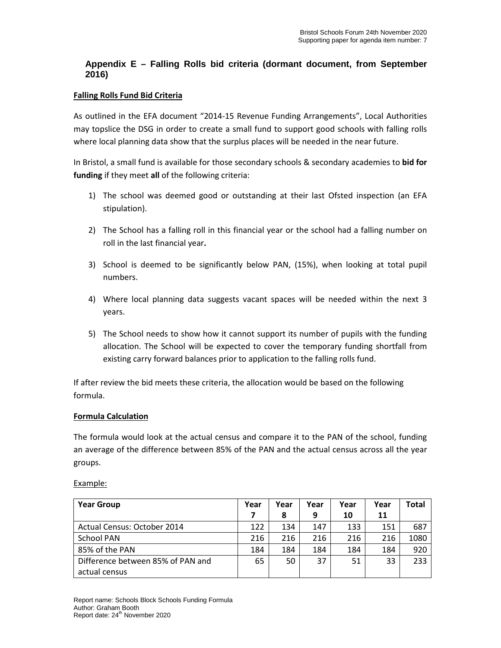## **Appendix E – Falling Rolls bid criteria (dormant document, from September 2016)**

#### **Falling Rolls Fund Bid Criteria**

As outlined in the EFA document "2014-15 Revenue Funding Arrangements", Local Authorities may topslice the DSG in order to create a small fund to support good schools with falling rolls where local planning data show that the surplus places will be needed in the near future.

In Bristol, a small fund is available for those secondary schools & secondary academies to **bid for funding** if they meet **all** of the following criteria:

- 1) The school was deemed good or outstanding at their last Ofsted inspection (an EFA stipulation).
- 2) The School has a falling roll in this financial year or the school had a falling number on roll in the last financial year**.**
- 3) School is deemed to be significantly below PAN, (15%), when looking at total pupil numbers.
- 4) Where local planning data suggests vacant spaces will be needed within the next 3 years.
- 5) The School needs to show how it cannot support its number of pupils with the funding allocation. The School will be expected to cover the temporary funding shortfall from existing carry forward balances prior to application to the falling rolls fund.

If after review the bid meets these criteria, the allocation would be based on the following formula.

#### **Formula Calculation**

The formula would look at the actual census and compare it to the PAN of the school, funding an average of the difference between 85% of the PAN and the actual census across all the year groups.

| ampi. |
|-------|
|-------|

| <b>Year Group</b>                 | Year | Year | Year | Year | Year | <b>Total</b> |
|-----------------------------------|------|------|------|------|------|--------------|
|                                   |      | 8    | 9    | 10   | 11   |              |
| Actual Census: October 2014       | 122  | 134  | 147  | 133  | 151  | 687          |
| <b>School PAN</b>                 | 216  | 216  | 216  | 216  | 216  | 1080         |
| 85% of the PAN                    | 184  | 184  | 184  | 184  | 184  | 920          |
| Difference between 85% of PAN and | 65   | 50   | 37   | 51   | 33   | 233          |
| actual census                     |      |      |      |      |      |              |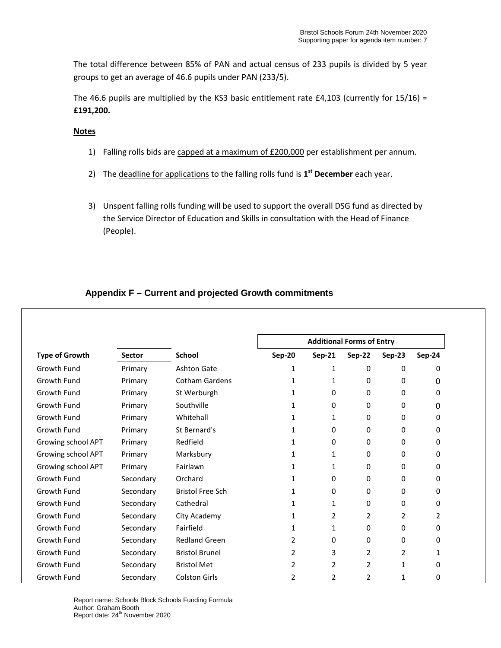The total difference between 85% of PAN and actual census of 233 pupils is divided by 5 year groups to get an average of 46.6 pupils under PAN (233/5).

The 46.6 pupils are multiplied by the KS3 basic entitlement rate  $\text{\pounds}4,103$  (currently for 15/16) = **£191,200.**

**Notes**

- 1) Falling rolls bids are capped at a maximum of £200,000 per establishment per annum.
- 2) The deadline for applications to the falling rolls fund is **1st December** each year.
- 3) Unspent falling rolls funding will be used to support the overall DSG fund as directed by the Service Director of Education and Skills in consultation with the Head of Finance (People).

## **Appendix F – Current and projected Growth commitments**

| <b>Type of Growth</b> | <b>Sector</b> | <b>School</b>           | <b>Additional Forms of Entry</b> |                |                |          |                |
|-----------------------|---------------|-------------------------|----------------------------------|----------------|----------------|----------|----------------|
|                       |               |                         | <b>Sep-20</b>                    | <b>Sep-21</b>  | Sep-22         | Sep-23   | <b>Sep-24</b>  |
| Growth Fund           | Primary       | <b>Ashton Gate</b>      | 1                                | 1              | $\mathbf 0$    | 0        | 0              |
| Growth Fund           | Primary       | <b>Cotham Gardens</b>   | 1                                | 1              | 0              | 0        | 0              |
| Growth Fund           | Primary       | St Werburgh             | 1                                | 0              | 0              | $\Omega$ | 0              |
| Growth Fund           | Primary       | Southville              | 1                                | 0              | 0              | 0        | 0              |
| Growth Fund           | Primary       | Whitehall               | 1                                | 1              | $\Omega$       | $\Omega$ | $\Omega$       |
| Growth Fund           | Primary       | St Bernard's            | 1                                | 0              | 0              | 0        | 0              |
| Growing school APT    | Primary       | Redfield                | 1                                | 0              | 0              | 0        | 0              |
| Growing school APT    | Primary       | Marksbury               | 1                                | 1              | 0              | 0        | 0              |
| Growing school APT    | Primary       | Fairlawn                | 1                                | $\mathbf{1}$   | 0              | 0        | 0              |
| Growth Fund           | Secondary     | Orchard                 |                                  | 0              | 0              | 0        | 0              |
| Growth Fund           | Secondary     | <b>Bristol Free Sch</b> | 1                                | 0              | 0              | 0        | 0              |
| Growth Fund           | Secondary     | Cathedral               | 1                                | 1              | 0              | 0        | 0              |
| Growth Fund           | Secondary     | City Academy            | 1                                | $\overline{2}$ | 2              | 2        | $\overline{2}$ |
| Growth Fund           | Secondary     | Fairfield               | 1                                | $\mathbf{1}$   | $\Omega$       | 0        | 0              |
| Growth Fund           | Secondary     | <b>Redland Green</b>    | 2                                | 0              | 0              | 0        | 0              |
| Growth Fund           | Secondary     | <b>Bristol Brunel</b>   | 2                                | 3              | 2              | 2        | $\mathbf{1}$   |
| Growth Fund           | Secondary     | <b>Bristol Met</b>      | 2                                | 2              | 2              | 1        | 0              |
| Growth Fund           | Secondary     | <b>Colston Girls</b>    | 2                                | $\overline{2}$ | $\overline{2}$ | 1        | 0              |